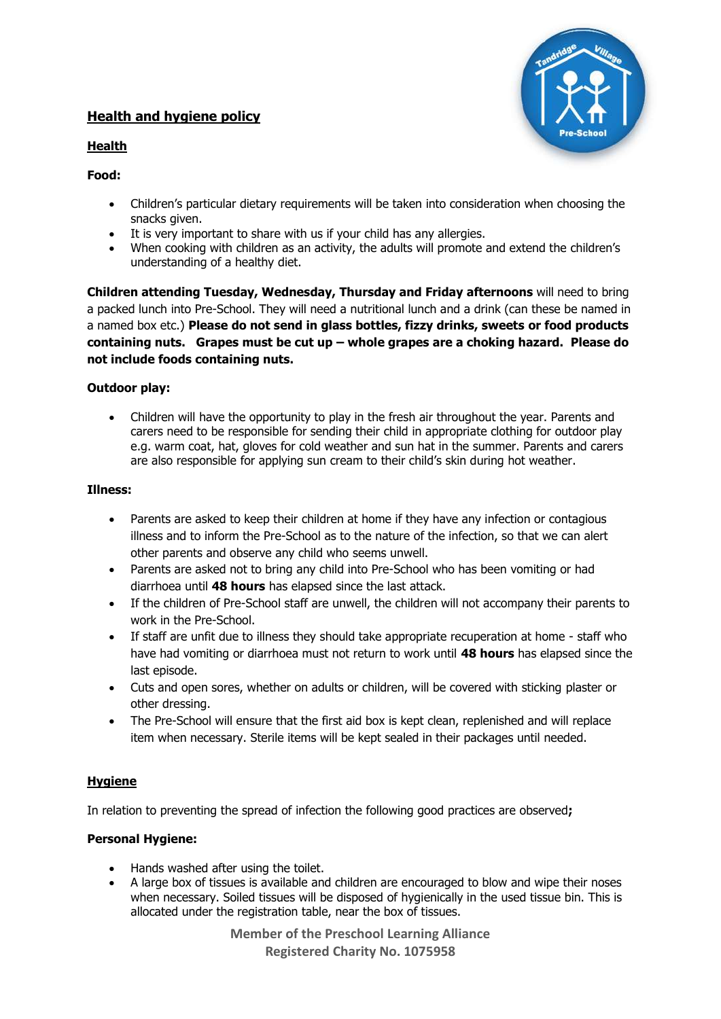# **Health and hygiene policy**

# **Health**



#### **Food:**

- Children's particular dietary requirements will be taken into consideration when choosing the snacks given.
- It is very important to share with us if your child has any allergies.
- When cooking with children as an activity, the adults will promote and extend the children's understanding of a healthy diet.

**Children attending Tuesday, Wednesday, Thursday and Friday afternoons** will need to bring a packed lunch into Pre-School. They will need a nutritional lunch and a drink (can these be named in a named box etc.) **Please do not send in glass bottles, fizzy drinks, sweets or food products containing nuts. Grapes must be cut up – whole grapes are a choking hazard. Please do not include foods containing nuts.** 

# **Outdoor play:**

• Children will have the opportunity to play in the fresh air throughout the year. Parents and carers need to be responsible for sending their child in appropriate clothing for outdoor play e.g. warm coat, hat, gloves for cold weather and sun hat in the summer. Parents and carers are also responsible for applying sun cream to their child's skin during hot weather.

#### **Illness:**

- Parents are asked to keep their children at home if they have any infection or contagious illness and to inform the Pre-School as to the nature of the infection, so that we can alert other parents and observe any child who seems unwell.
- Parents are asked not to bring any child into Pre-School who has been vomiting or had diarrhoea until **48 hours** has elapsed since the last attack.
- If the children of Pre-School staff are unwell, the children will not accompany their parents to work in the Pre-School.
- If staff are unfit due to illness they should take appropriate recuperation at home staff who have had vomiting or diarrhoea must not return to work until **48 hours** has elapsed since the last episode.
- Cuts and open sores, whether on adults or children, will be covered with sticking plaster or other dressing.
- The Pre-School will ensure that the first aid box is kept clean, replenished and will replace item when necessary. Sterile items will be kept sealed in their packages until needed.

# **Hygiene**

In relation to preventing the spread of infection the following good practices are observed**;**

# **Personal Hygiene:**

- Hands washed after using the toilet.
- A large box of tissues is available and children are encouraged to blow and wipe their noses when necessary. Soiled tissues will be disposed of hygienically in the used tissue bin. This is allocated under the registration table, near the box of tissues.

**Member of the Preschool Learning Alliance Registered Charity No. 1075958**